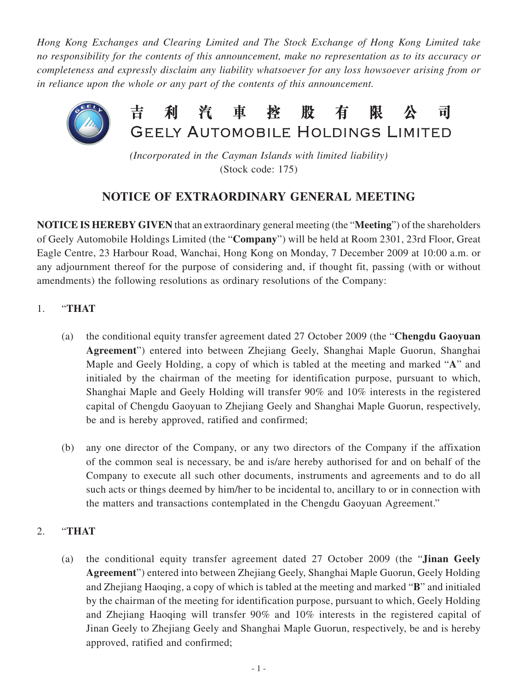*Hong Kong Exchanges and Clearing Limited and The Stock Exchange of Hong Kong Limited take no responsibility for the contents of this announcement, make no representation as to its accuracy or completeness and expressly disclaim any liability whatsoever for any loss howsoever arising from or in reliance upon the whole or any part of the contents of this announcement.*



*(Incorporated in the Cayman Islands with limited liability)* (Stock code: 175)

## **NOTICE OF EXTRAORDINARY GENERAL MEETING**

**NOTICE IS HEREBY GIVEN** that an extraordinary general meeting (the "**Meeting**") of the shareholders of Geely Automobile Holdings Limited (the "**Company**") will be held at Room 2301, 23rd Floor, Great Eagle Centre, 23 Harbour Road, Wanchai, Hong Kong on Monday, 7 December 2009 at 10:00 a.m. or any adjournment thereof for the purpose of considering and, if thought fit, passing (with or without amendments) the following resolutions as ordinary resolutions of the Company:

- 1. "**THAT**
	- (a) the conditional equity transfer agreement dated 27 October 2009 (the "**Chengdu Gaoyuan Agreement**") entered into between Zhejiang Geely, Shanghai Maple Guorun, Shanghai Maple and Geely Holding, a copy of which is tabled at the meeting and marked "**A**" and initialed by the chairman of the meeting for identification purpose, pursuant to which, Shanghai Maple and Geely Holding will transfer 90% and 10% interests in the registered capital of Chengdu Gaoyuan to Zhejiang Geely and Shanghai Maple Guorun, respectively, be and is hereby approved, ratified and confirmed;
	- (b) any one director of the Company, or any two directors of the Company if the affixation of the common seal is necessary, be and is/are hereby authorised for and on behalf of the Company to execute all such other documents, instruments and agreements and to do all such acts or things deemed by him/her to be incidental to, ancillary to or in connection with the matters and transactions contemplated in the Chengdu Gaoyuan Agreement."

## 2. "**THAT**

(a) the conditional equity transfer agreement dated 27 October 2009 (the "**Jinan Geely Agreement**") entered into between Zhejiang Geely, Shanghai Maple Guorun, Geely Holding and Zhejiang Haoqing, a copy of which is tabled at the meeting and marked "**B**" and initialed by the chairman of the meeting for identification purpose, pursuant to which, Geely Holding and Zhejiang Haoqing will transfer 90% and 10% interests in the registered capital of Jinan Geely to Zhejiang Geely and Shanghai Maple Guorun, respectively, be and is hereby approved, ratified and confirmed;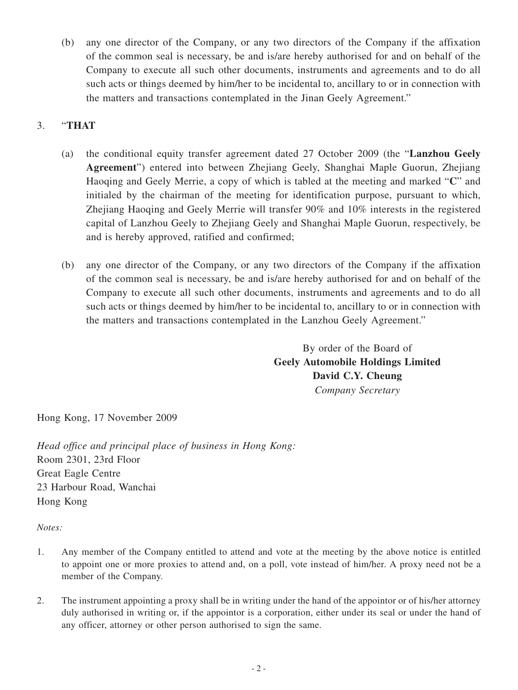(b) any one director of the Company, or any two directors of the Company if the affixation of the common seal is necessary, be and is/are hereby authorised for and on behalf of the Company to execute all such other documents, instruments and agreements and to do all such acts or things deemed by him/her to be incidental to, ancillary to or in connection with the matters and transactions contemplated in the Jinan Geely Agreement."

## 3. "**THAT**

- (a) the conditional equity transfer agreement dated 27 October 2009 (the "**Lanzhou Geely Agreement**") entered into between Zhejiang Geely, Shanghai Maple Guorun, Zhejiang Haoqing and Geely Merrie, a copy of which is tabled at the meeting and marked "**C**" and initialed by the chairman of the meeting for identification purpose, pursuant to which, Zhejiang Haoqing and Geely Merrie will transfer 90% and 10% interests in the registered capital of Lanzhou Geely to Zhejiang Geely and Shanghai Maple Guorun, respectively, be and is hereby approved, ratified and confirmed;
- (b) any one director of the Company, or any two directors of the Company if the affixation of the common seal is necessary, be and is/are hereby authorised for and on behalf of the Company to execute all such other documents, instruments and agreements and to do all such acts or things deemed by him/her to be incidental to, ancillary to or in connection with the matters and transactions contemplated in the Lanzhou Geely Agreement."

By order of the Board of **Geely Automobile Holdings Limited David C.Y. Cheung** *Company Secretary*

Hong Kong, 17 November 2009

*Head office and principal place of business in Hong Kong:* Room 2301, 23rd Floor Great Eagle Centre 23 Harbour Road, Wanchai Hong Kong

*Notes:*

- 1. Any member of the Company entitled to attend and vote at the meeting by the above notice is entitled to appoint one or more proxies to attend and, on a poll, vote instead of him/her. A proxy need not be a member of the Company.
- 2. The instrument appointing a proxy shall be in writing under the hand of the appointor or of his/her attorney duly authorised in writing or, if the appointor is a corporation, either under its seal or under the hand of any officer, attorney or other person authorised to sign the same.